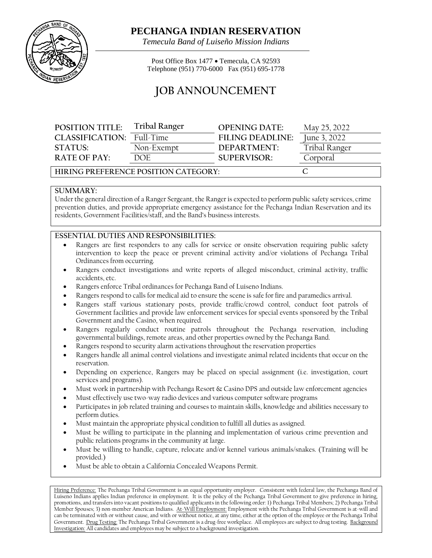

## **PECHANGA INDIAN RESERVATION**

*Temecula Band of Luiseño Mission Indians*

Post Office Box 1477 • Temecula, CA 92593 Telephone (951) 770-6000 Fax (951) 695-1778

# **JOB ANNOUNCEMENT**

| <b>POSITION TITLE:</b> | <b>Tribal Ranger</b> | <b>OPENING DATE:</b>    | May 25, 2022  |
|------------------------|----------------------|-------------------------|---------------|
| CLASSIFICATION:        | Full-Time            | <b>FILING DEADLINE:</b> | June 3, 2022  |
| STATUSE                | Non-Exempt           | DEPARTMENT:             | Tribal Ranger |
| $R$ ATF OF PAY:        | DOE                  | SUPERVISOR:             | Corporal      |
|                        |                      |                         |               |

**HIRING PREFERENCE POSITION CATEGORY: C**

#### **SUMMARY:**

Under the general direction of a Ranger Sergeant, the Ranger is expected to perform public safety services, crime prevention duties, and provide appropriate emergency assistance for the Pechanga Indian Reservation and its residents, Government Facilities/staff, and the Band's business interests.

#### **ESSENTIAL DUTIES AND RESPONSIBILITIES:**

- Rangers are first responders to any calls for service or onsite observation requiring public safety intervention to keep the peace or prevent criminal activity and/or violations of Pechanga Tribal Ordinances from occurring.
- Rangers conduct investigations and write reports of alleged misconduct, criminal activity, traffic accidents, etc.
- Rangers enforce Tribal ordinances for Pechanga Band of Luiseno Indians.
- Rangers respond to calls for medical aid to ensure the scene is safe for fire and paramedics arrival.
- Rangers staff various stationary posts, provide traffic/crowd control, conduct foot patrols of Government facilities and provide law enforcement services for special events sponsored by the Tribal Government and the Casino, when required.
- Rangers regularly conduct routine patrols throughout the Pechanga reservation, including governmental buildings, remote areas, and other properties owned by the Pechanga Band.
- Rangers respond to security alarm activations throughout the reservation properties
- Rangers handle all animal control violations and investigate animal related incidents that occur on the reservation.
- Depending on experience, Rangers may be placed on special assignment (i.e. investigation, court services and programs).
- Must work in partnership with Pechanga Resort & Casino DPS and outside law enforcement agencies
- Must effectively use two-way radio devices and various computer software programs
- Participates in job related training and courses to maintain skills, knowledge and abilities necessary to perform duties.
- Must maintain the appropriate physical condition to fulfill all duties as assigned.
- Must be willing to participate in the planning and implementation of various crime prevention and public relations programs in the community at large.
- Must be willing to handle, capture, relocate and/or kennel various animals/snakes. (Training will be provided.)
- Must be able to obtain a California Concealed Weapons Permit.

Hiring Preference: The Pechanga Tribal Government is an equal opportunity employer. Consistent with federal law, the Pechanga Band of Luiseno Indians applies Indian preference in employment. It is the policy of the Pechanga Tribal Government to give preference in hiring, promotions, and transfers into vacant positions to qualified applicants in the following order: 1) Pechanga Tribal Members; 2) Pechanga Tribal Member Spouses; 3) non-member American Indians. At-Will Employment: Employment with the Pechanga Tribal Government is at-will and can be terminated with or without cause, and with or without notice, at any time, either at the option of the employee or the Pechanga Tribal Government. Drug Testing: The Pechanga Tribal Government is a drug-free workplace. All employees are subject to drug testing. Background Investigation: All candidates and employees may be subject to a background investigation.